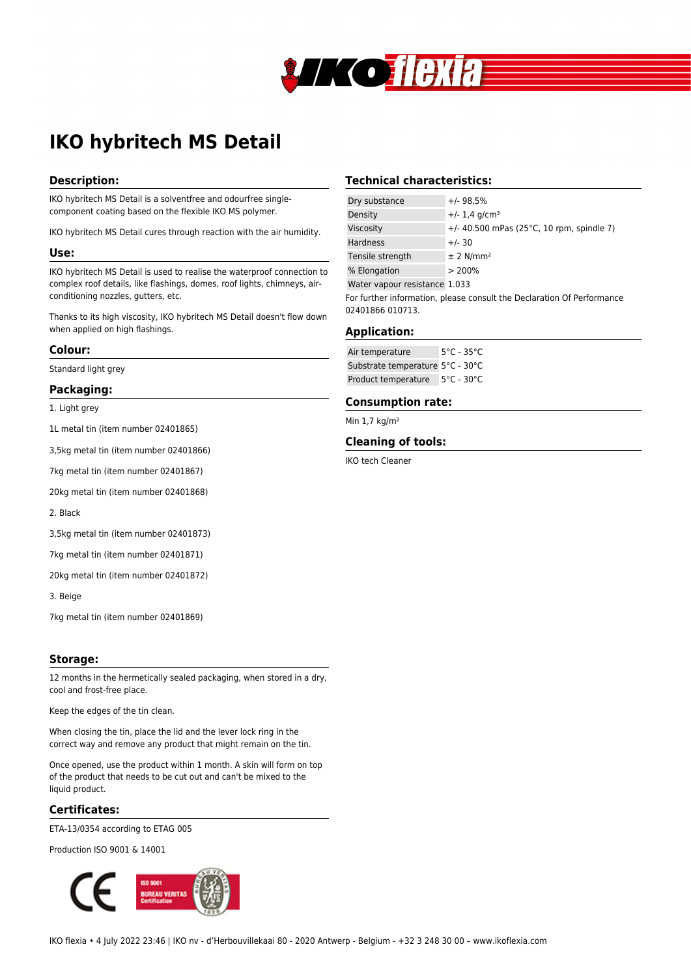

# **IKO hybritech MS Detail**

# **Description:**

IKO hybritech MS Detail is a solventfree and odourfree singlecomponent coating based on the flexible IKO MS polymer.

IKO hybritech MS Detail cures through reaction with the air humidity.

#### **Use:**

IKO hybritech MS Detail is used to realise the waterproof connection to complex roof details, like flashings, domes, roof lights, chimneys, airconditioning nozzles, gutters, etc.

Thanks to its high viscosity, IKO hybritech MS Detail doesn't flow down when applied on high flashings.

#### **Colour:**

Standard light grey

## **Packaging:**

1. Light grey

1L metal tin (item number 02401865)

3,5kg metal tin (item number 02401866)

7kg metal tin (item number 02401867)

20kg metal tin (item number 02401868)

2. Black

3,5kg metal tin (item number 02401873)

7kg metal tin (item number 02401871)

20kg metal tin (item number 02401872)

3. Beige

7kg metal tin (item number 02401869)

#### **Storage:**

12 months in the hermetically sealed packaging, when stored in a dry, cool and frost-free place.

Keep the edges of the tin clean.

When closing the tin, place the lid and the lever lock ring in the correct way and remove any product that might remain on the tin.

Once opened, use the product within 1 month. A skin will form on top of the product that needs to be cut out and can't be mixed to the liquid product.

# **Certificates:**

ETA-13/0354 according to ETAG 005

Production ISO 9001 & 14001



# **Technical characteristics:**

| Dry substance                                                          | $+/-98.5%$                                           |
|------------------------------------------------------------------------|------------------------------------------------------|
| Density                                                                | $+/- 1.4$ g/cm <sup>3</sup>                          |
| Viscosity                                                              | +/- 40.500 mPas (25 $^{\circ}$ C, 10 rpm, spindle 7) |
| <b>Hardness</b>                                                        | $+/- 30$                                             |
| Tensile strength                                                       | $±$ 2 N/mm <sup>2</sup>                              |
| % Elongation                                                           | > 200%                                               |
| Water vapour resistance 1.033                                          |                                                      |
| For further information, please consult the Declaration Of Performance |                                                      |
| 02401866 010713.                                                       |                                                      |

# **Application:**

| Air temperature                  | $5^{\circ}$ C - 35 $^{\circ}$ C |
|----------------------------------|---------------------------------|
| Substrate temperature 5°C - 30°C |                                 |
| Product temperature              | $5^{\circ}$ C - 30 $^{\circ}$ C |

## **Consumption rate:**

Min 1,7 kg/m²

#### **Cleaning of tools:**

IKO tech Cleaner